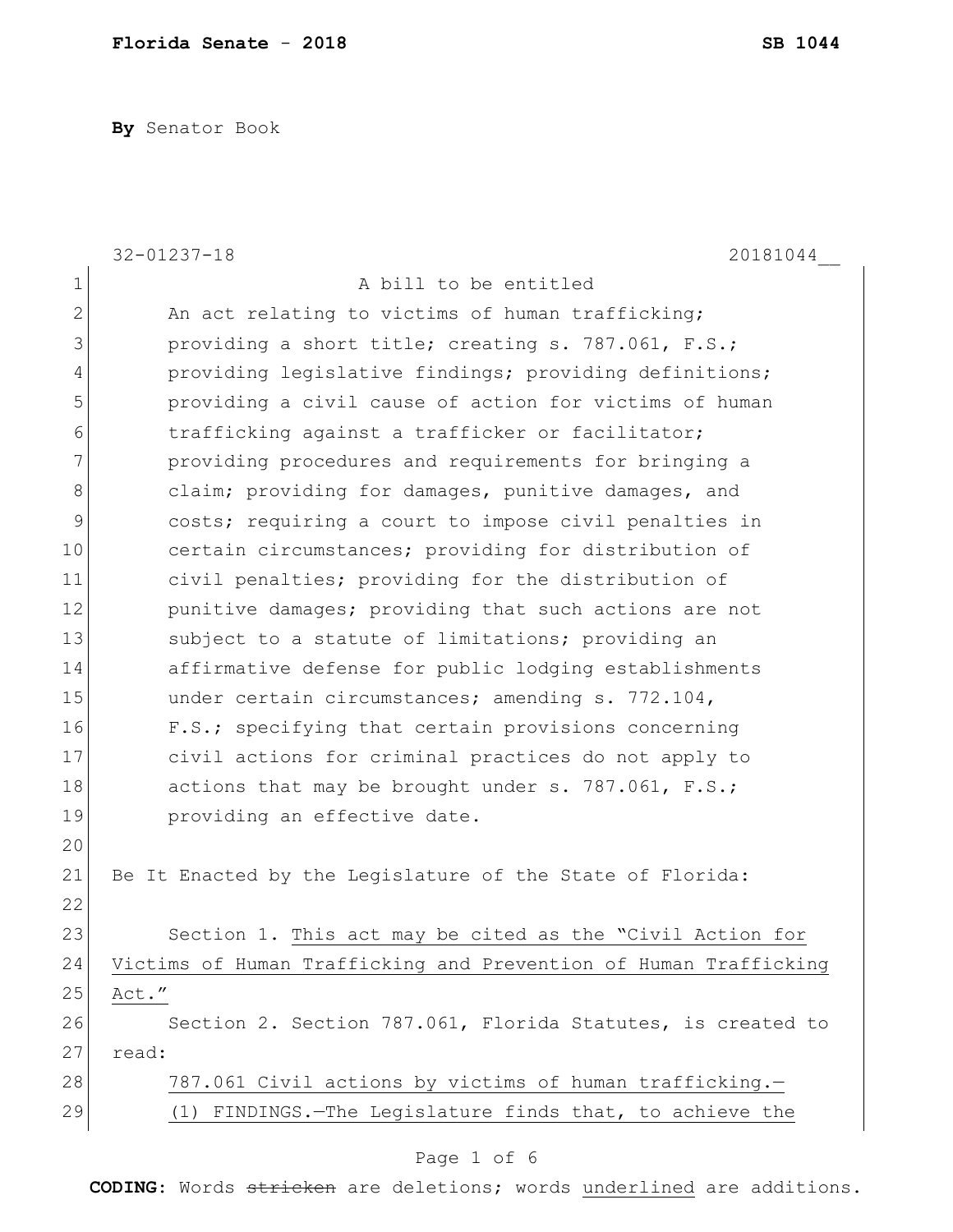**By** Senator Book

|                | $32 - 01237 - 18$<br>20181044                                    |
|----------------|------------------------------------------------------------------|
| $\mathbf 1$    | A bill to be entitled                                            |
| $\overline{2}$ | An act relating to victims of human trafficking;                 |
| 3              | providing a short title; creating s. 787.061, F.S.;              |
| $\overline{4}$ | providing legislative findings; providing definitions;           |
| 5              | providing a civil cause of action for victims of human           |
| 6              | trafficking against a trafficker or facilitator;                 |
| 7              | providing procedures and requirements for bringing a             |
| 8              | claim; providing for damages, punitive damages, and              |
| 9              | costs; requiring a court to impose civil penalties in            |
| 10             | certain circumstances; providing for distribution of             |
| 11             | civil penalties; providing for the distribution of               |
| 12             | punitive damages; providing that such actions are not            |
| 13             | subject to a statute of limitations; providing an                |
| 14             | affirmative defense for public lodging establishments            |
| 15             | under certain circumstances; amending s. 772.104,                |
| 16             | F.S.; specifying that certain provisions concerning              |
| 17             | civil actions for criminal practices do not apply to             |
| 18             | actions that may be brought under s. 787.061, F.S.;              |
| 19             | providing an effective date.                                     |
| 20             |                                                                  |
| 21             | Be It Enacted by the Legislature of the State of Florida:        |
| 22             |                                                                  |
| 23             | Section 1. This act may be cited as the "Civil Action for        |
| 24             | Victims of Human Trafficking and Prevention of Human Trafficking |
| 25             | Act."                                                            |
| 26             | Section 2. Section 787.061, Florida Statutes, is created to      |
| 27             | read:                                                            |
| 28             | 787.061 Civil actions by victims of human trafficking.-          |
| 29             | (1) FINDINGS. - The Legislature finds that, to achieve the       |

# Page 1 of 6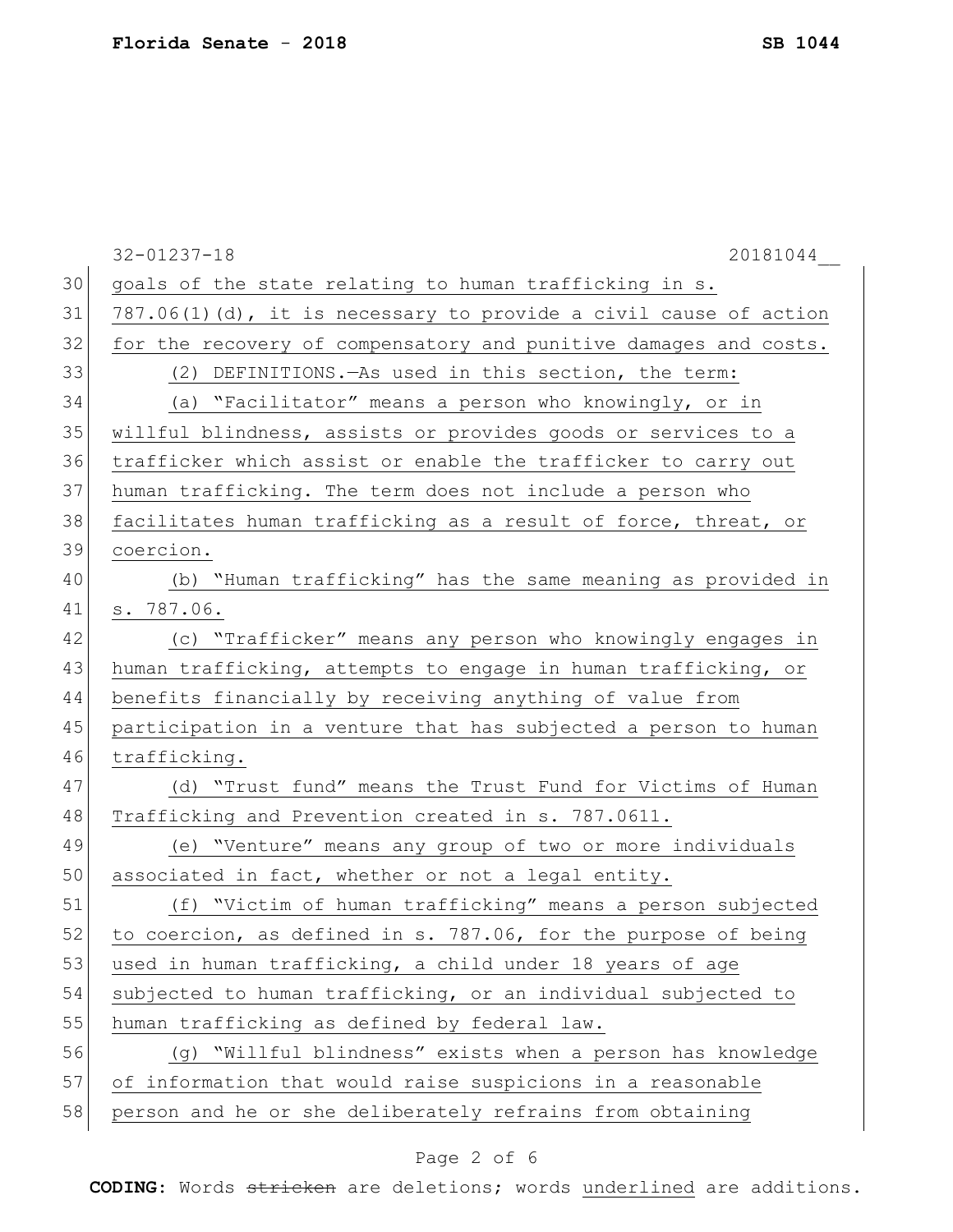|    | $32 - 01237 - 18$<br>20181044                                       |
|----|---------------------------------------------------------------------|
| 30 | goals of the state relating to human trafficking in s.              |
| 31 | $787.06(1)$ (d), it is necessary to provide a civil cause of action |
| 32 | for the recovery of compensatory and punitive damages and costs.    |
| 33 | (2) DEFINITIONS. - As used in this section, the term:               |
| 34 | (a) "Facilitator" means a person who knowingly, or in               |
| 35 | willful blindness, assists or provides goods or services to a       |
| 36 | trafficker which assist or enable the trafficker to carry out       |
| 37 | human trafficking. The term does not include a person who           |
| 38 | facilitates human trafficking as a result of force, threat, or      |
| 39 | coercion.                                                           |
| 40 | (b) "Human trafficking" has the same meaning as provided in         |
| 41 | s. 787.06.                                                          |
| 42 | (c) "Trafficker" means any person who knowingly engages in          |
| 43 | human trafficking, attempts to engage in human trafficking, or      |
| 44 | benefits financially by receiving anything of value from            |
| 45 | participation in a venture that has subjected a person to human     |
| 46 | trafficking.                                                        |
| 47 | (d) "Trust fund" means the Trust Fund for Victims of Human          |
| 48 | Trafficking and Prevention created in s. 787.0611.                  |
| 49 | (e) "Venture" means any group of two or more individuals            |
| 50 | associated in fact, whether or not a legal entity.                  |
| 51 | (f) "Victim of human trafficking" means a person subjected          |
| 52 | to coercion, as defined in s. 787.06, for the purpose of being      |
| 53 | used in human trafficking, a child under 18 years of age            |
| 54 | subjected to human trafficking, or an individual subjected to       |
| 55 | human trafficking as defined by federal law.                        |
| 56 | (q) "Willful blindness" exists when a person has knowledge          |
| 57 | of information that would raise suspicions in a reasonable          |
| 58 | person and he or she deliberately refrains from obtaining           |
|    |                                                                     |

# Page 2 of 6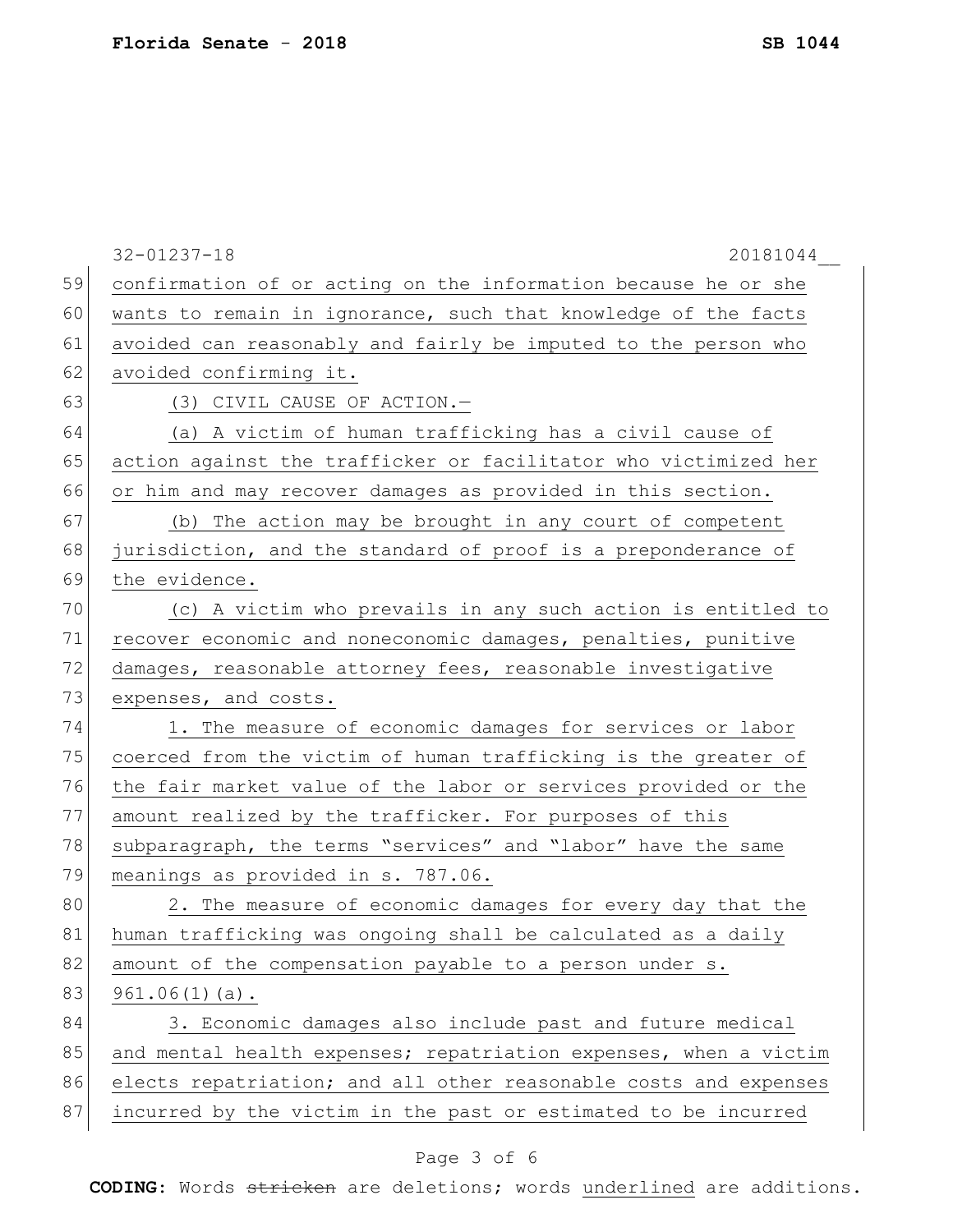|    | $32 - 01237 - 18$<br>20181044                                    |
|----|------------------------------------------------------------------|
| 59 | confirmation of or acting on the information because he or she   |
| 60 | wants to remain in ignorance, such that knowledge of the facts   |
| 61 | avoided can reasonably and fairly be imputed to the person who   |
| 62 | avoided confirming it.                                           |
| 63 | (3) CIVIL CAUSE OF ACTION.-                                      |
| 64 | (a) A victim of human trafficking has a civil cause of           |
| 65 | action against the trafficker or facilitator who victimized her  |
| 66 | or him and may recover damages as provided in this section.      |
| 67 | (b) The action may be brought in any court of competent          |
| 68 | jurisdiction, and the standard of proof is a preponderance of    |
| 69 | the evidence.                                                    |
| 70 | (c) A victim who prevails in any such action is entitled to      |
| 71 | recover economic and noneconomic damages, penalties, punitive    |
| 72 | damages, reasonable attorney fees, reasonable investigative      |
| 73 | expenses, and costs.                                             |
| 74 | 1. The measure of economic damages for services or labor         |
| 75 | coerced from the victim of human trafficking is the greater of   |
| 76 | the fair market value of the labor or services provided or the   |
| 77 | amount realized by the trafficker. For purposes of this          |
| 78 | subparagraph, the terms "services" and "labor" have the same     |
| 79 | meanings as provided in s. 787.06.                               |
| 80 | 2. The measure of economic damages for every day that the        |
| 81 | human trafficking was ongoing shall be calculated as a daily     |
| 82 | amount of the compensation payable to a person under s.          |
| 83 | $961.06(1)(a)$ .                                                 |
| 84 | 3. Economic damages also include past and future medical         |
| 85 | and mental health expenses; repatriation expenses, when a victim |
| 86 | elects repatriation; and all other reasonable costs and expenses |
| 87 | incurred by the victim in the past or estimated to be incurred   |

# Page 3 of 6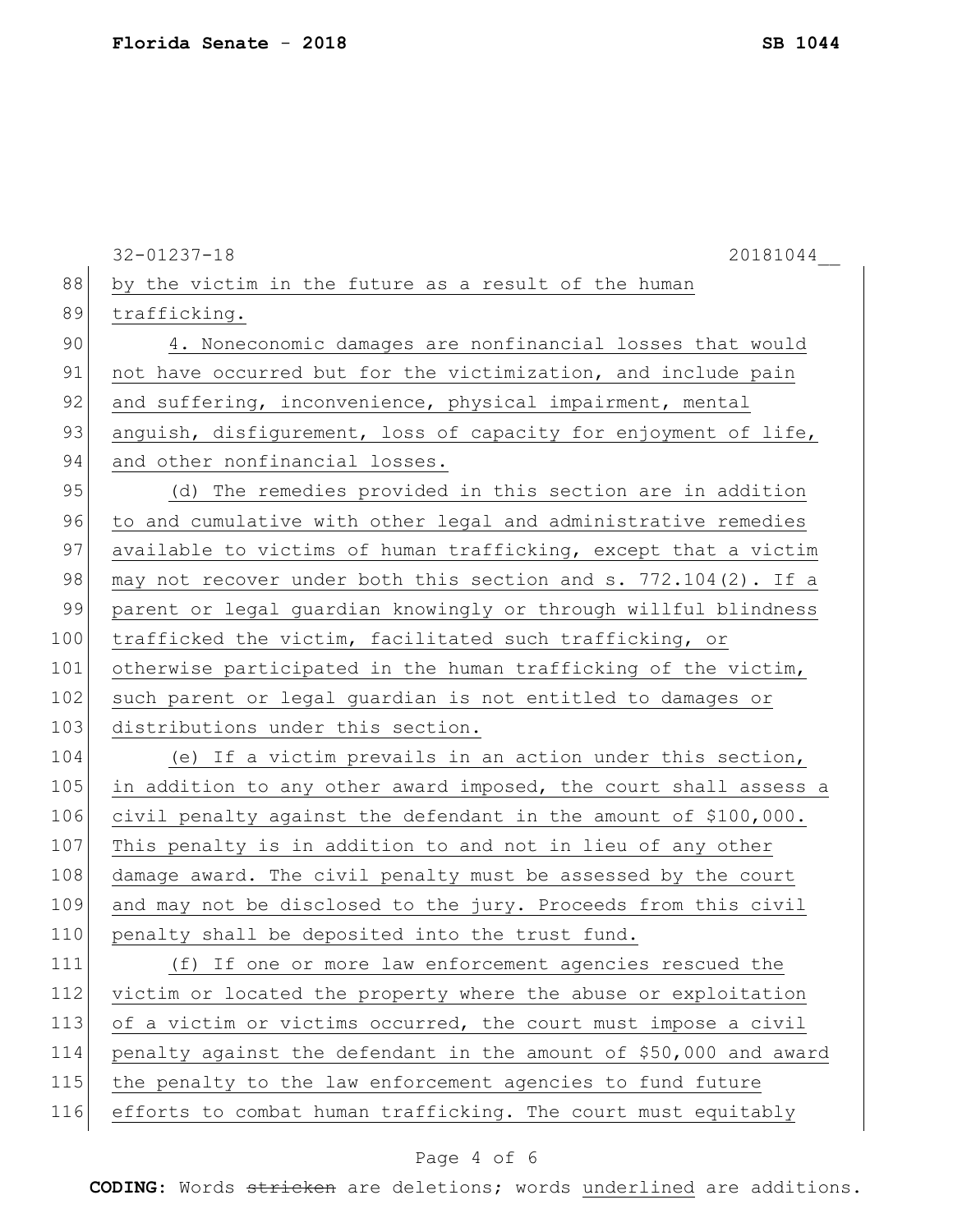|     | $32 - 01237 - 18$<br>20181044                                     |
|-----|-------------------------------------------------------------------|
| 88  | by the victim in the future as a result of the human              |
| 89  | trafficking.                                                      |
| 90  | 4. Noneconomic damages are nonfinancial losses that would         |
| 91  | not have occurred but for the victimization, and include pain     |
| 92  | and suffering, inconvenience, physical impairment, mental         |
| 93  | anguish, disfigurement, loss of capacity for enjoyment of life,   |
| 94  | and other nonfinancial losses.                                    |
| 95  | (d) The remedies provided in this section are in addition         |
| 96  | to and cumulative with other legal and administrative remedies    |
| 97  | available to victims of human trafficking, except that a victim   |
| 98  | may not recover under both this section and s. 772.104(2). If a   |
| 99  | parent or legal quardian knowingly or through willful blindness   |
| 100 | trafficked the victim, facilitated such trafficking, or           |
| 101 | otherwise participated in the human trafficking of the victim,    |
| 102 | such parent or legal guardian is not entitled to damages or       |
| 103 | distributions under this section.                                 |
| 104 | (e) If a victim prevails in an action under this section,         |
| 105 | in addition to any other award imposed, the court shall assess a  |
| 106 | civil penalty against the defendant in the amount of \$100,000.   |
| 107 | This penalty is in addition to and not in lieu of any other       |
| 108 | damage award. The civil penalty must be assessed by the court     |
| 109 | and may not be disclosed to the jury. Proceeds from this civil    |
| 110 | penalty shall be deposited into the trust fund.                   |
| 111 | (f) If one or more law enforcement agencies rescued the           |
| 112 | victim or located the property where the abuse or exploitation    |
| 113 | of a victim or victims occurred, the court must impose a civil    |
| 114 | penalty against the defendant in the amount of \$50,000 and award |
| 115 | the penalty to the law enforcement agencies to fund future        |
| 116 | efforts to combat human trafficking. The court must equitably     |
|     |                                                                   |

# Page 4 of 6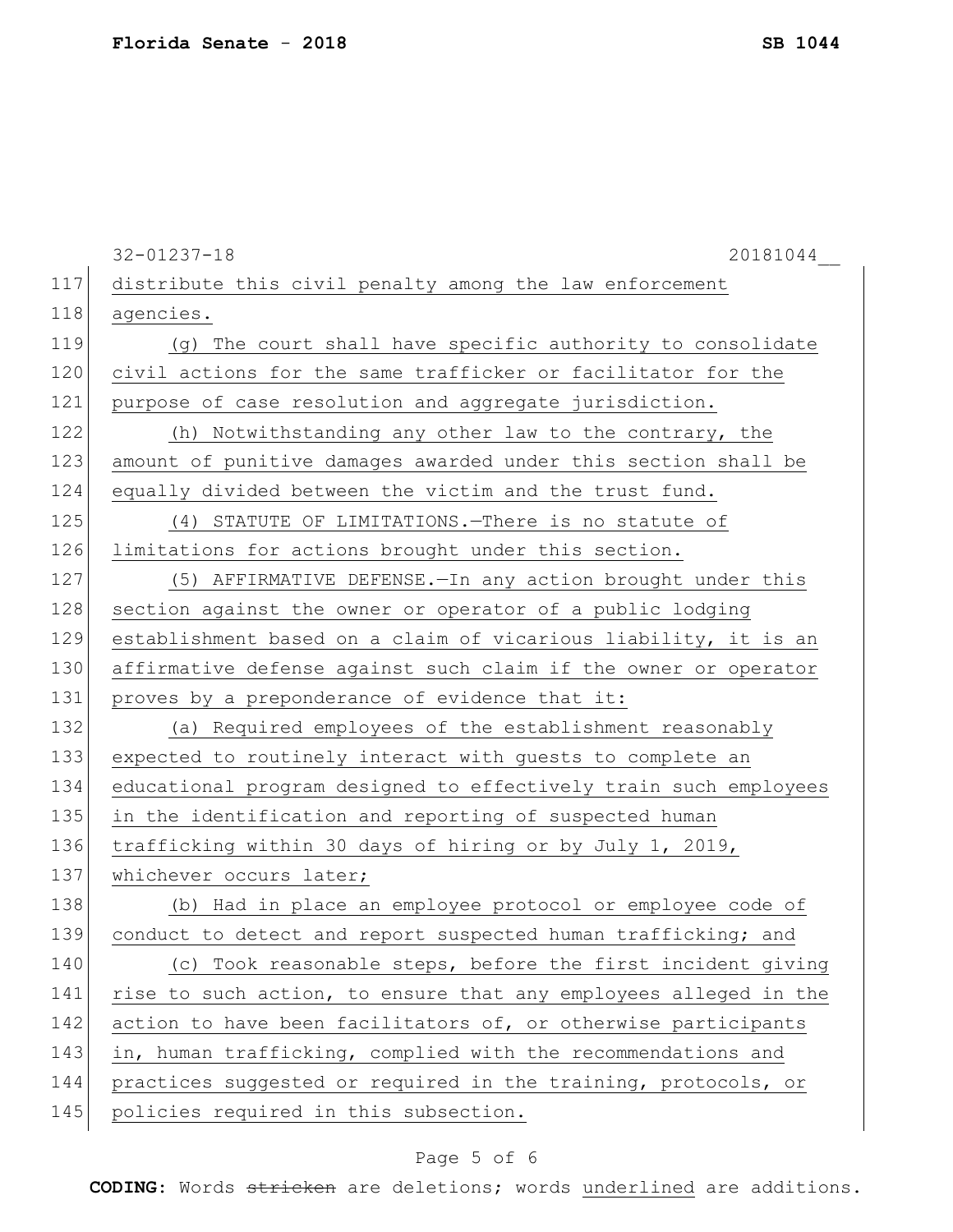|     | $32 - 01237 - 18$<br>20181044                                    |
|-----|------------------------------------------------------------------|
| 117 | distribute this civil penalty among the law enforcement          |
| 118 | agencies.                                                        |
| 119 | (q) The court shall have specific authority to consolidate       |
| 120 | civil actions for the same trafficker or facilitator for the     |
| 121 | purpose of case resolution and aggregate jurisdiction.           |
| 122 | (h) Notwithstanding any other law to the contrary, the           |
| 123 | amount of punitive damages awarded under this section shall be   |
| 124 | equally divided between the victim and the trust fund.           |
| 125 | (4) STATUTE OF LIMITATIONS. There is no statute of               |
| 126 | limitations for actions brought under this section.              |
| 127 | (5) AFFIRMATIVE DEFENSE. - In any action brought under this      |
| 128 | section against the owner or operator of a public lodging        |
| 129 | establishment based on a claim of vicarious liability, it is an  |
| 130 | affirmative defense against such claim if the owner or operator  |
| 131 | proves by a preponderance of evidence that it:                   |
| 132 | (a) Required employees of the establishment reasonably           |
| 133 | expected to routinely interact with guests to complete an        |
| 134 | educational program designed to effectively train such employees |
| 135 | in the identification and reporting of suspected human           |
| 136 | trafficking within 30 days of hiring or by July 1, 2019,         |
| 137 | whichever occurs later;                                          |
| 138 | (b) Had in place an employee protocol or employee code of        |
| 139 | conduct to detect and report suspected human trafficking; and    |
| 140 | (c) Took reasonable steps, before the first incident giving      |
| 141 | rise to such action, to ensure that any employees alleged in the |
| 142 | action to have been facilitators of, or otherwise participants   |
| 143 | in, human trafficking, complied with the recommendations and     |
| 144 | practices suggested or required in the training, protocols, or   |
| 145 | policies required in this subsection.                            |
|     |                                                                  |

# Page 5 of 6